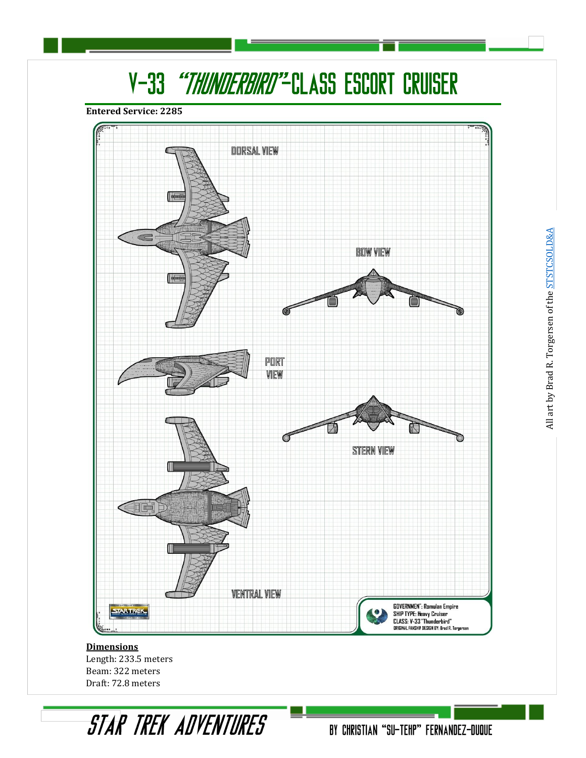# V-33 "THUNDERBIRD"-CLASS ESCORT CRUISER

**Entered Service: 2285**



**Dimensions** Length: 233.5 meters Beam: 322 meters Draft: 72.8 meters

STAR TREK ADVENTURES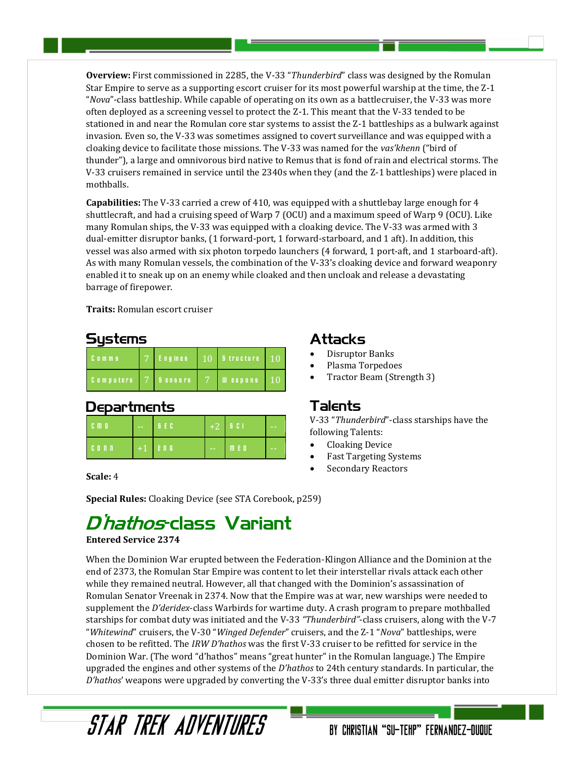**Overview:** First commissioned in 2285, the V-33 "*Thunderbird*" class was designed by the Romulan Star Empire to serve as a supporting escort cruiser for its most powerful warship at the time, the Z-1 "*Nova*"-class battleship. While capable of operating on its own as a battlecruiser, the V-33 was more often deployed as a screening vessel to protect the Z-1. This meant that the V-33 tended to be stationed in and near the Romulan core star systems to assist the Z-1 battleships as a bulwark against invasion. Even so, the V-33 was sometimes assigned to covert surveillance and was equipped with a cloaking device to facilitate those missions. The V-33 was named for the *vas'khenn* ("bird of thunder"), a large and omnivorous bird native to Remus that is fond of rain and electrical storms. The V-33 cruisers remained in service until the 2340s when they (and the Z-1 battleships) were placed in mothballs.

**Capabilities:** The V-33 carried a crew of 410, was equipped with a shuttlebay large enough for 4 shuttlecraft, and had a cruising speed of Warp 7 (OCU) and a maximum speed of Warp 9 (OCU). Like many Romulan ships, the V-33 was equipped with a cloaking device. The V-33 was armed with 3 dual-emitter disruptor banks, (1 forward-port, 1 forward-starboard, and 1 aft). In addition, this vessel was also armed with six photon torpedo launchers (4 forward, 1 port-aft, and 1 starboard-aft). As with many Romulan vessels, the combination of the V-33's cloaking device and forward weaponry enabled it to sneak up on an enemy while cloaked and then uncloak and release a devastating barrage of firepower.

**Traits:** Romulan escort cruiser

#### Sustems

| Comms            | Engines,       | $10$ Structure 10 |    |
|------------------|----------------|-------------------|----|
| <b>Computers</b> | <b>Bensors</b> | <b>Weapons</b>    | 10 |

#### **Departments**

| <b>CMD</b>         | $\sim$ $\sim$ | <b>BEC</b> |               | $+2$   5 C I | $-1$ |
|--------------------|---------------|------------|---------------|--------------|------|
| C <sub>0</sub> n n |               | $+1$   ENG | $\sim$ $\sim$ | M.E.D        | $-1$ |

**Scale:** 4

### **Attacks**

- Disruptor Banks
- Plasma Torpedoes
- Tractor Beam (Strength 3)

#### Talents

V-33 "*Thunderbird*"-class starships have the following Talents:

BY CHRISTIAN "SU-TEHP" FERNANDEZ-DUQUE

- Cloaking Device
- Fast Targeting Systems
- Secondary Reactors

**Special Rules:** Cloaking Device (see STA Corebook, p259)

## D'hathos-class Variant

STAR TRFK ANVENTIIRFS

#### **Entered Service 2374**

When the Dominion War erupted between the Federation-Klingon Alliance and the Dominion at the end of 2373, the Romulan Star Empire was content to let their interstellar rivals attack each other while they remained neutral. However, all that changed with the Dominion's assassination of Romulan Senator Vreenak in 2374. Now that the Empire was at war, new warships were needed to supplement the *D'deridex*-class Warbirds for wartime duty. A crash program to prepare mothballed starships for combat duty was initiated and the V-33 *"Thunderbird"*-class cruisers, along with the V-7 "*Whitewind*" cruisers, the V-30 "*Winged Defender*" cruisers, and the Z-1 "*Nova*" battleships, were chosen to be refitted. The *IRW D'hathos* was the first V-33 cruiser to be refitted for service in the Dominion War. (The word "d'hathos" means "great hunter" in the Romulan language.) The Empire upgraded the engines and other systems of the *D'hathos* to 24th century standards. In particular, the *D'hathos*' weapons were upgraded by converting the V-33's three dual emitter disruptor banks into